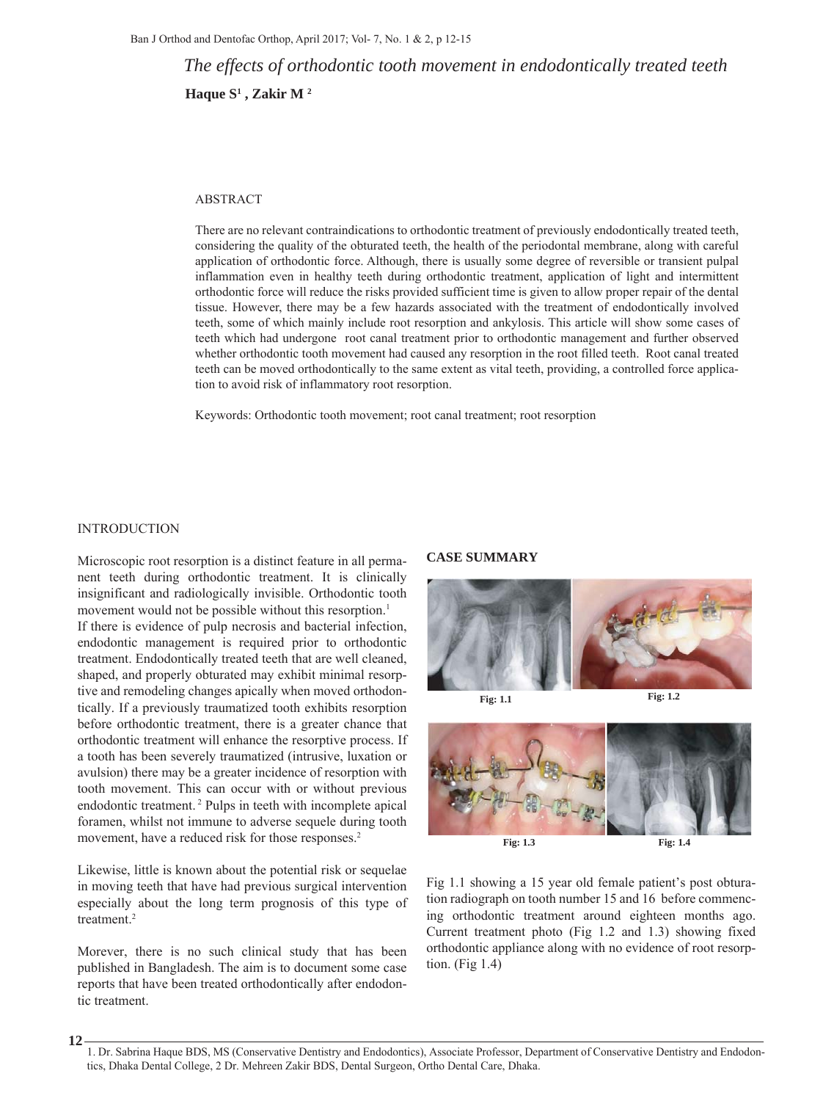*The effects of orthodontic tooth movement in endodontically treated teeth* **Haque S1 , Zakir M 2** 

### ABSTRACT

There are no relevant contraindications to orthodontic treatment of previously endodontically treated teeth, considering the quality of the obturated teeth, the health of the periodontal membrane, along with careful application of orthodontic force. Although, there is usually some degree of reversible or transient pulpal inflammation even in healthy teeth during orthodontic treatment, application of light and intermittent orthodontic force will reduce the risks provided sufficient time is given to allow proper repair of the dental tissue. However, there may be a few hazards associated with the treatment of endodontically involved teeth, some of which mainly include root resorption and ankylosis. This article will show some cases of teeth which had undergone root canal treatment prior to orthodontic management and further observed whether orthodontic tooth movement had caused any resorption in the root filled teeth. Root canal treated teeth can be moved orthodontically to the same extent as vital teeth, providing, a controlled force application to avoid risk of inflammatory root resorption.

Keywords: Orthodontic tooth movement; root canal treatment; root resorption

### **INTRODUCTION**

Microscopic root resorption is a distinct feature in all permanent teeth during orthodontic treatment. It is clinically insignificant and radiologically invisible. Orthodontic tooth movement would not be possible without this resorption.<sup>1</sup>

If there is evidence of pulp necrosis and bacterial infection, endodontic management is required prior to orthodontic treatment. Endodontically treated teeth that are well cleaned, shaped, and properly obturated may exhibit minimal resorptive and remodeling changes apically when moved orthodontically. If a previously traumatized tooth exhibits resorption before orthodontic treatment, there is a greater chance that orthodontic treatment will enhance the resorptive process. If a tooth has been severely traumatized (intrusive, luxation or avulsion) there may be a greater incidence of resorption with tooth movement. This can occur with or without previous endodontic treatment. 2 Pulps in teeth with incomplete apical foramen, whilst not immune to adverse sequele during tooth movement, have a reduced risk for those responses.<sup>2</sup>

Likewise, little is known about the potential risk or sequelae in moving teeth that have had previous surgical intervention especially about the long term prognosis of this type of treatment.<sup>2</sup>

Morever, there is no such clinical study that has been published in Bangladesh. The aim is to document some case reports that have been treated orthodontically after endodontic treatment.

#### **CASE SUMMARY**





Fig 1.1 showing a 15 year old female patient's post obturation radiograph on tooth number 15 and 16 before commencing orthodontic treatment around eighteen months ago. Current treatment photo (Fig 1.2 and 1.3) showing fixed orthodontic appliance along with no evidence of root resorption. (Fig 1.4)

1. Dr. Sabrina Haque BDS, MS (Conservative Dentistry and Endodontics), Associate Professor, Department of Conservative Dentistry and Endodontics, Dhaka Dental College, 2 Dr. Mehreen Zakir BDS, Dental Surgeon, Ortho Dental Care, Dhaka.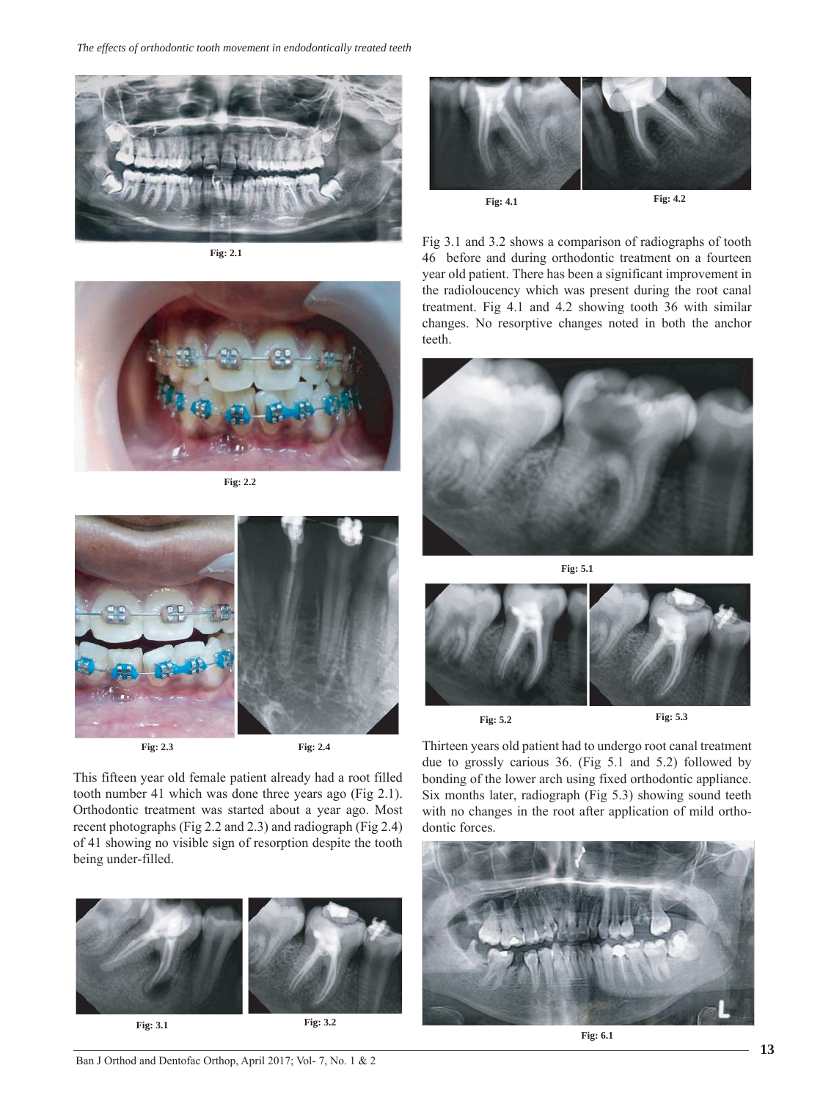*The effects of orthodontic tooth movement in endodontically treated teeth*



**Fig: 2.1**



**Fig: 2.2**



This fifteen year old female patient already had a root filled tooth number 41 which was done three years ago (Fig 2.1). Orthodontic treatment was started about a year ago. Most recent photographs (Fig 2.2 and 2.3) and radiograph (Fig 2.4) of 41 showing no visible sign of resorption despite the tooth being under-filled.





Fig 3.1 and 3.2 shows a comparison of radiographs of tooth 46 before and during orthodontic treatment on a fourteen year old patient. There has been a significant improvement in the radioloucency which was present during the root canal treatment. Fig 4.1 and 4.2 showing tooth 36 with similar changes. No resorptive changes noted in both the anchor teeth.



**Fig: 5.1**



**Fig: 5.2**

**Fig: 5.3**

Thirteen years old patient had to undergo root canal treatment due to grossly carious 36. (Fig 5.1 and 5.2) followed by bonding of the lower arch using fixed orthodontic appliance. Six months later, radiograph (Fig 5.3) showing sound teeth with no changes in the root after application of mild orthodontic forces.



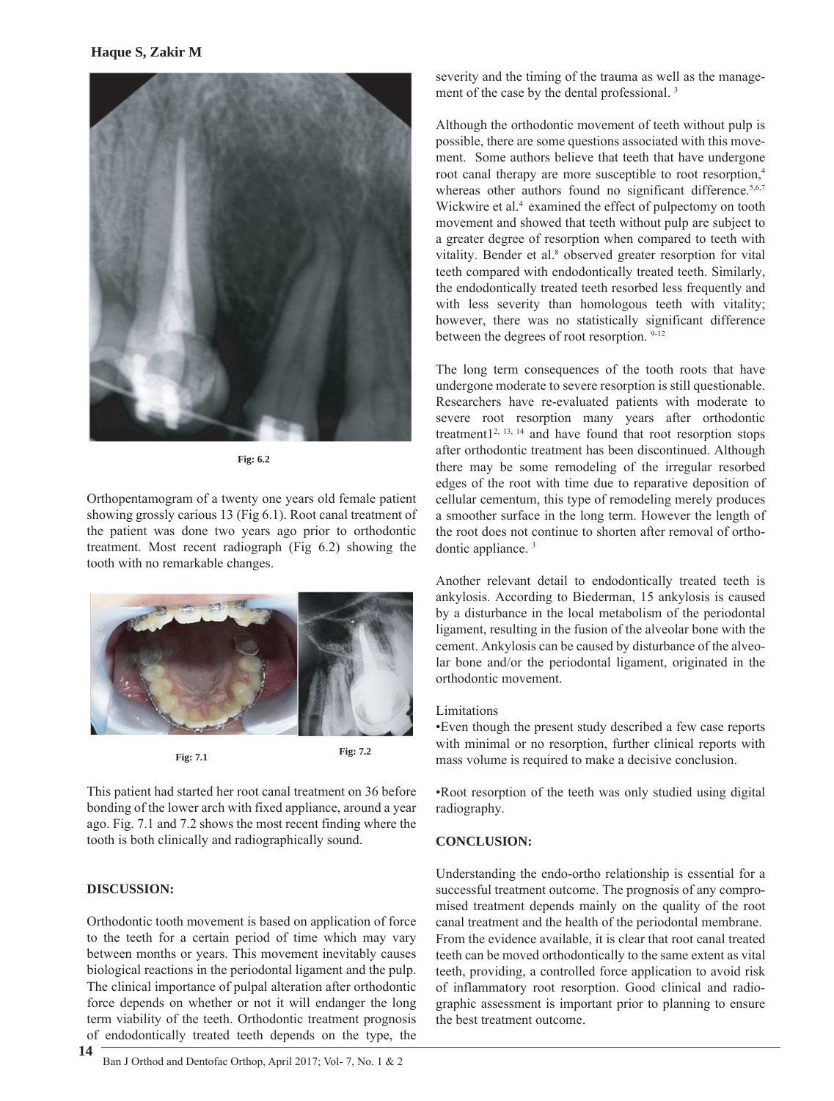

**Fig: 6.2**

Orthopentamogram of a twenty one years old female patient showing grossly carious 13 (Fig 6.1). Root canal treatment of the patient was done two years ago prior to orthodontic treatment. Most recent radiograph (Fig 6.2) showing the tooth with no remarkable changes.



This patient had started her root canal treatment on 36 before bonding of the lower arch with fixed appliance, around a year ago. Fig. 7.1 and 7.2 shows the most recent finding where the tooth is both clinically and radiographically sound.

## **DISCUSSION:**

Orthodontic tooth movement is based on application of force to the teeth for a certain period of time which may vary between months or years. This movement inevitably causes biological reactions in the periodontal ligament and the pulp. The clinical importance of pulpal alteration after orthodontic force depends on whether or not it will endanger the long term viability of the teeth. Orthodontic treatment prognosis of endodontically treated teeth depends on the type, the

severity and the timing of the trauma as well as the management of the case by the dental professional. 3

Although the orthodontic movement of teeth without pulp is possible, there are some questions associated with this movement. Some authors believe that teeth that have undergone root canal therapy are more susceptible to root resorption,4 whereas other authors found no significant difference.<sup>5,6,7</sup> Wickwire et al.<sup>4</sup> examined the effect of pulpectomy on tooth movement and showed that teeth without pulp are subject to a greater degree of resorption when compared to teeth with vitality. Bender et al.<sup>8</sup> observed greater resorption for vital teeth compared with endodontically treated teeth. Similarly, the endodontically treated teeth resorbed less frequently and with less severity than homologous teeth with vitality; however, there was no statistically significant difference between the degrees of root resorption. <sup>9-12</sup>

The long term consequences of the tooth roots that have undergone moderate to severe resorption is still questionable. Researchers have re-evaluated patients with moderate to severe root resorption many years after orthodontic treatment $1^{2, 13, 14}$  and have found that root resorption stops after orthodontic treatment has been discontinued. Although there may be some remodeling of the irregular resorbed edges of the root with time due to reparative deposition of cellular cementum, this type of remodeling merely produces a smoother surface in the long term. However the length of the root does not continue to shorten after removal of orthodontic appliance.<sup>3</sup>

Another relevant detail to endodontically treated teeth is ankylosis. According to Biederman, 15 ankylosis is caused by a disturbance in the local metabolism of the periodontal ligament, resulting in the fusion of the alveolar bone with the cement. Ankylosis can be caused by disturbance of the alveolar bone and/or the periodontal ligament, originated in the orthodontic movement.

#### Limitations

•Even though the present study described a few case reports with minimal or no resorption, further clinical reports with mass volume is required to make a decisive conclusion.

•Root resorption of the teeth was only studied using digital radiography.

### **CONCLUSION:**

Understanding the endo-ortho relationship is essential for a successful treatment outcome. The prognosis of any compromised treatment depends mainly on the quality of the root canal treatment and the health of the periodontal membrane. From the evidence available, it is clear that root canal treated teeth can be moved orthodontically to the same extent as vital teeth, providing, a controlled force application to avoid risk of inflammatory root resorption. Good clinical and radiographic assessment is important prior to planning to ensure the best treatment outcome.